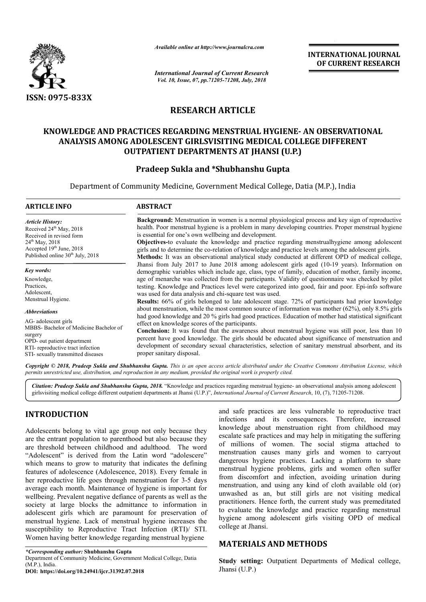

*Available online at http://www.journalcra.com*

*International Journal of Current Research Vol. 10, Issue, 07, pp.71205-71208, July, 2018*

**INTERNATIONAL JOURNAL OF CURRENT RESEARCH**

# **RESEARCH ARTICLE**

## **KNOWLEDGE AND PRACTICES REGARDING MENSTRUAL HYGIENE HYGIENE- AN OBSERVATIONAL OBSERVATIONAL ANALYSIS AMONG ADOLESCENT GIRLSVISITING MEDICAL COLLEGE DIFFERENT OUTPATIENT DEPARTMENTS AT JHANSI (U.P.)**

# **Pradeep Sukla and \*Shubhanshu Gupta**

Department of Community Medicine, Government Medical College, Datia (M.P.), India

# **ARTICLE INFO ABSTRACT Background Background:** Menstruation in women is a normal physiological process and key sign of reproductive health. Poor menstrual hygiene is a problem in many developing countries. Proper menstrual hygiene is essential for one's own wellbeing and development. **Objectives Objectives-**to evaluate the knowledge and practice regarding menstrualhygiene among adolescent girls and to determine the co-relation of knowledge and practice levels among the adolescent girls. **Methods Methods:** It was an observational analytical study conducted at different OPD of medical college, Jhansi from July 2017 to June 2018 among adolescent girls aged (10-19 years). Information on demographic variables which include age, class, type of family, education of mother, family income, age of menarche was collected from the participants. Validity of questionnaire was checked by pilot testing. Knowledge and Practices level were categorized into good, fair and poor. Epi was used for data analysis and chi-square test was used. **Results Results:** 66% of girls belonged to late adolescent stage. 72% of participants had prior knowledge **Results:** 66% of girls belonged to late adolescent stage. 72% of participants had prior knowledge about menstruation, while the most common source of information was mother (62%), only 8.5% girls had good knowledge and 20 % girls had good practices. Education of mother had statistical significant effect on knowledge scores of the participants. had good knowledge and 20 % girls had good practices. Education of mother had statistical significant effect on knowledge scores of the participants.<br>**Conclusion:** It was found that the awareness about menstrual hygiene wa percent have good knowledge. The girls should be educated about significance of menstruation and percent have good knowledge. The girls should be educated about significance of menstruation and development of secondary sexual characteristics, selection of sanitary menstrual absorbent, and its proper sanitary disposal. *Article History:* Received 24<sup>th</sup> May, 2018 Received in revised form 24<sup>th</sup> May, 2018 Accepted 19<sup>th</sup> June, 2018 Published online 30<sup>th</sup> July, 2018 *Key words:* Knowledge, Practices, Adolescent, Menstrual Hygiene. *Abbreviations* AG- adolescent girls MBBS- Bachelor of Medicine Bachelor of surgery OPD- out patient department RTI- reproductive tract infection STI- sexually transmitted diseases **Background:** Menstruation in women is a normal physiological process and key sign of reproductive health. Poor menstrual hygiene is a problem in many developing countries. Proper menstrual hygiene is essential for one's o demographic variables which include age, class, type of family, education of mother, family income, age of menarche was collected from the participants. Validity of questionnaire was checked by pilot testing. Knowledge and INTERNATIONAL JOURNAL<br>
OF CURRENT RESEARCH<br>
OF CURRENT RESEARCH<br>
LEGE DIFFERENT<br>
AN OBSERVATIONAL<br>
LEGE DIFFERENT<br>
1<br>
atia (M.P.), India<br>
all process and key sign of reproductive<br>
ng countries. Proper menstrual hygiene<br>
ge

Copyright © 2018, Pradeep Sukla and Shubhanshu Gupta. This is an open access article distributed under the Creative Commons Attribution License, which permits unrestricted use, distribution, and reproduction in any medium, provided the original work is properly cited.

Citation: Pradeep Sukla and Shubhanshu Gupta, 2018. "Knowledge and practices regarding menstrual hygiene- an observational analysis among adolescent<br>girlsvisiting medical college different outpatient departments at Jhansi girlsvisiting medical college different outpatient departments at Jhansi (U.P.) (U.P.)", *International Journal of Current Research*

# **INTRODUCTION**

Adolescents belong to vital age group not only because they are the entrant population to parenthood but also because they are threshold between childhood and adulthood. The word "Adolescent" is derived from the Latin word "adolescere" which means to grow to maturity that indicates the defining features of adolescence (Adolescence, 2018). Every female in her reproductive life goes through menstrua menstruation for 3-5 days average each month. Maintenance of hygiene is important for wellbeing. Prevalent negative defiance of parents as well as the society at large blocks the admittance to information in adolescent girls which are paramount for preservation of menstrual hygiene. Lack of menstrual hygiene increases the susceptibility to Reproductive Tract Infection (RTI)/ STI. Women having better knowledge regarding menstrual hygiene

*\*Corresponding author:* **Shubhanshu Gupta** Department of Community Medicine, Government Medical College, Datia  $(M P)$  India. **DOI: https://doi.org/10.24941/ijcr.31392.07.2018**

and safe practices are less vulnerable to reproductive tract<br>
infections and its consequences. Therefore, increased<br>
enhood but also because they<br>
less the secalate safe practices and may help in mitigating the suffering<br> infections and its consequences. Therefore, increased and safe practices are less vulnerable to reproductive tract<br>infections and its consequences. Therefore, increased<br>knowledge about menstruation right from childhood may escalate safe practices and may help in mitigating the suffering of millions of women. The social stigma attached to menstruation causes many girls and women to carryout dangerous hygiene practices. Lacking a platform to share menstrual hygiene problems, girls and women often suffer from discomfort and infection, avoiding urination during menstruation, and using any kind of cloth available old (or) unwashed as an, but still girls are not visiting medical practitioners. Hence forth, the current study was premeditated to evaluate the knowledge and practice regarding menstrual to evaluate the knowledge and practice regarding menstrual hygiene among adolescent girls visiting OPD of medical college at Jhansi. escalate safe practices and may help in mitigating the suffering<br>of millions of women. The social stigma attached to<br>menstruation causes many girls and women to carryout<br>dangerous hygiene practices. Lacking a platform to s

### **MATERIALS AND METHODS METHODS**

**Study setting:** Outpatient Departments of Medical college, Jhansi (U.P.)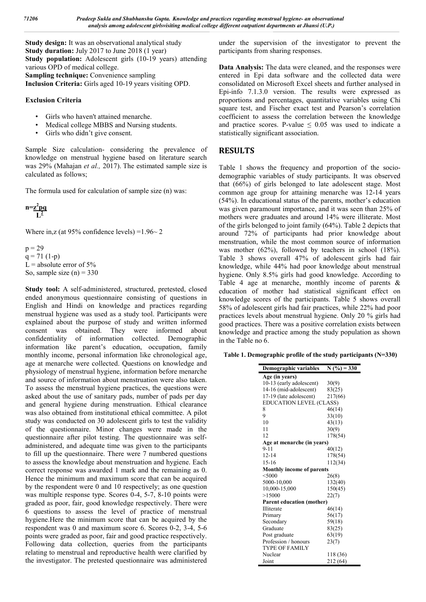**Study design:** It was an observational analytical study **Study duration:** July 2017 to June 2018 (1 year) **Study population:** Adolescent girls (10-19 years) attending various OPD of medical college. **Sampling technique:** Convenience sampling **Inclusion Criteria:** Girls aged 10-19 years visiting OPD.

#### **Exclusion Criteria**

- Girls who haven't attained menarche.
- Medical college MBBS and Nursing students.
- Girls who didn't give consent.

Sample Size calculation- considering the prevalence of knowledge on menstrual hygiene based on literature search was 29% (Mahajan *et al.,* 2017). The estimated sample size is calculated as follows;

The formula used for calculation of sample size (n) was:

$$
n = \frac{z^2pq}{L^2}
$$

Where in, z (at  $95\%$  confidence levels) = 1.96  $\sim$  2.

 $p = 29$  $q = 71(1-p)$ L = absolute error of  $5\%$ So, sample size  $(n) = 330$ 

**Study tool:** A self-administered, structured, pretested, closed ended anonymous questionnaire consisting of questions in English and Hindi on knowledge and practices regarding menstrual hygiene was used as a study tool. Participants were explained about the purpose of study and written informed consent was obtained. They were informed about confidentiality of information collected. Demographic information like parent's education, occupation, family monthly income, personal information like chronological age, age at menarche were collected. Questions on knowledge and physiology of menstrual hygiene, information before menarche and source of information about menstruation were also taken. To assess the menstrual hygiene practices, the questions were asked about the use of sanitary pads, number of pads per day and general hygiene during menstruation. Ethical clearance was also obtained from institutional ethical committee. A pilot study was conducted on 30 adolescent girls to test the validity of the questionnaire. Minor changes were made in the questionnaire after pilot testing. The questionnaire was selfadministered, and adequate time was given to the participants to fill up the questionnaire. There were 7 numbered questions to assess the knowledge about menstruation and hygiene. Each correct response was awarded 1 mark and the remaining as 0. Hence the minimum and maximum score that can be acquired by the respondent were 0 and 10 respectively; as one question was multiple response type. Scores 0-4, 5-7, 8-10 points were graded as poor, fair, good knowledge respectively. There were 6 questions to assess the level of practice of menstrual hygiene.Here the minimum score that can be acquired by the respondent was 0 and maximum score 6. Scores 0-2, 3-4, 5-6 points were graded as poor, fair and good practice respectively. Following data collection, queries from the participants relating to menstrual and reproductive health were clarified by the investigator. The pretested questionnaire was administered under the supervision of the investigator to prevent the participants from sharing responses.

**Data Analysis:** The data were cleaned, and the responses were entered in Epi data software and the collected data were consolidated on Microsoft Excel sheets and further analysed in Epi-info 7.1.3.0 version. The results were expressed as proportions and percentages, quantitative variables using Chi square test, and Fischer exact test and Pearson's correlation coefficient to assess the correlation between the knowledge and practice scores. P-value  $\leq 0.05$  was used to indicate a statistically significant association.

### **RESULTS**

Table 1 shows the frequency and proportion of the sociodemographic variables of study participants. It was observed that (66%) of girls belonged to late adolescent stage. Most common age group for attaining menarche was 12-14 years (54%). In educational status of the parents, mother's education was given paramount importance, and it was seen than 25% of mothers were graduates and around 14% were illiterate. Most of the girls belonged to joint family (64%). Table 2 depicts that around 72% of participants had prior knowledge about menstruation, while the most common source of information was mother (62%), followed by teachers in school (18%). Table 3 shows overall 47% of adolescent girls had fair knowledge, while 44% had poor knowledge about menstrual hygiene. Only 8.5% girls had good knowledge. According to Table 4 age at menarche, monthly income of parents & education of mother had statistical significant effect on knowledge scores of the participants. Table 5 shows overall 58% of adolescent girls had fair practices, while 22% had poor practices levels about menstrual hygiene. Only 20 % girls had good practices. There was a positive correlation exists between knowledge and practice among the study population as shown in the Table no 6.

**Table 1. Demographic profile of the study participants (N=330)**

| Demographic variables            | $N($ %) = 330 |
|----------------------------------|---------------|
| Age (in years)                   |               |
| 10-13 (early adolescent)         | 30(9)         |
| 14-16 (mid-adolescent)           | 83(25)        |
| 17-19 (late adolescent)          | 217(66)       |
| <b>EDUCATION LEVEL (CLASS)</b>   |               |
| 8                                | 46(14)        |
| 9                                | 33(10)        |
| 10                               | 43(13)        |
| 11                               | 30(9)         |
| 12                               | 178(54)       |
| Age at menarche (in years)       |               |
| $9 - 11$                         | 40(12)        |
| $12 - 14$                        | 178(54)       |
| $15-16$                          | 112(34)       |
| <b>Monthly income of parents</b> |               |
| $<$ 5000                         | 26(8)         |
| 5000-10,000                      | 132(40)       |
| 10,000-15,000                    | 150(45)       |
| >15000                           | 22(7)         |
| <b>Parent education (mother)</b> |               |
| Illiterate                       | 46(14)        |
| Primary                          | 56(17)        |
| Secondary                        | 59(18)        |
| Graduate                         | 83(25)        |
| Post graduate                    | 63(19)        |
| Profession / honours             | 23(7)         |
| <b>TYPE OF FAMILY</b>            |               |
| Nuclear                          | 118 (36)      |
| Joint                            | 212 (64)      |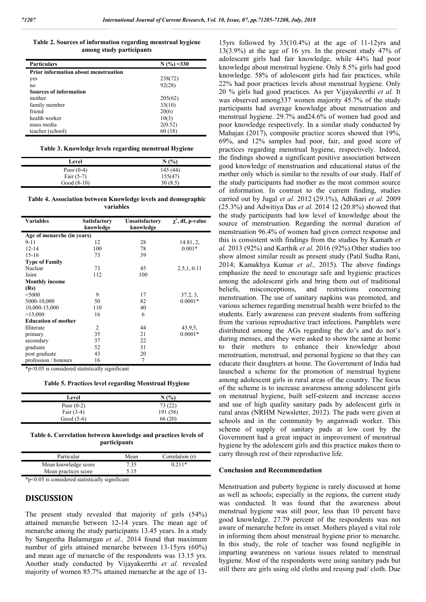**Table 2. Sources of information regarding menstrual hygiene among study participants**

| <b>Particulars</b>                          | $N(%)=330$ |
|---------------------------------------------|------------|
| <b>Prior information about menstruation</b> |            |
| yes                                         | 238(72)    |
| no                                          | 92(28)     |
| <b>Sources of information</b>               |            |
| mother                                      | 205(62)    |
| family member                               | 33(10)     |
| friend                                      | 20(6)      |
| health worker                               | 10(3)      |
| mass media                                  | 2(0.52)    |
| teacher (school)                            | 60(18)     |

#### **Table 3. Knowledge levels regarding menstrual Hygiene**

| Level         | N(%      |
|---------------|----------|
| Poor $(0-4)$  | 145 (44) |
| Fair $(5-7)$  | 155(47)  |
| Good $(8-10)$ | 30(8.5)  |

**Table 4. Association between Knowledge levels and demographic variables**

| <b>Variables</b>           | <b>Satisfactory</b> | <b>Unsatisfactory</b> | $\chi^2$ , df, p-value |
|----------------------------|---------------------|-----------------------|------------------------|
|                            | knowledge           | knowledge             |                        |
| Age of menarche (in years) |                     |                       |                        |
| $9 - 11$                   | 12                  | 28                    | 14.81, 2,              |
| $12 - 14$                  | 100                 | 78                    | $0.001*$               |
| $15-16$                    | 73                  | 39                    |                        |
| <b>Type of Family</b>      |                     |                       |                        |
| Nuclear                    | 73                  | 45                    | 2.5, 1, 0.11           |
| Joint                      | 112                 | 100                   |                        |
| <b>Monthly income</b>      |                     |                       |                        |
| (Rs)                       |                     |                       |                        |
| $<$ 5000                   | 9                   | 17                    | 37.2, 3,               |
| 5000-10,000                | 50                  | 82                    | $0.0001*$              |
| 10,000-15,000              | 110                 | 40                    |                        |
| >15,000                    | 16                  | 6                     |                        |
| <b>Education of mother</b> |                     |                       |                        |
| Illiterate                 | 2                   | 44                    | 43.9,5,                |
| primary                    | 35                  | 21                    | $0.0001*$              |
| secondary                  | 37                  | 22                    |                        |
| graduate                   | 52                  | 31                    |                        |
| post graduate              | 43                  | 20                    |                        |
| profession / honours       | 16                  | 7                     |                        |

\*p<0.05 is considered statistically significant

**Table 5. Practices level regarding Menstrual Hygiene**

| Level        | N(%)     |
|--------------|----------|
| Poor $(0-2)$ | 73 (22)  |
| Fair $(3-4)$ | 191 (58) |
| Good $(5-6)$ | 66 (20)  |

**Table 6. Correlation between knowledge and practices levels of participants**

| Particular           | Mean | Correlation (r) |
|----------------------|------|-----------------|
| Mean knowledge score | 7.35 | $0.211*$        |
| Mean practices score | 5.15 |                 |

\*p<0.05 is considered statistically significant

#### **DISCUSSION**

The present study revealed that majority of girls (54%) attained menarche between 12-14 years. The mean age of menarche among the study participants 13.45 years. In a study by Sangeetha Balamurgan *et al.,* 2014 found that maximum number of girls attained menarche between 13-15yrs (60%) and mean age of menarche of the respondents was 13.15 yrs. Another study conducted by Vijayakeerthi *et al.* revealed majority of women 85.7% attained menarche at the age of 13-

15yrs followed by 35(10.4%) at the age of 11-12yrs and 13(3.9%) at the age of 16 yrs. In the present study 47% of adolescent girls had fair knowledge, while 44% had poor knowledge about menstrual hygiene. Only 8.5% girls had good knowledge. 58% of adolescent girls had fair practices, while 22% had poor practices levels about menstrual hygiene. Only 20 % girls had good practices. As per Vijayakeerthi *et al.* It was observed among337 women majority 45.7% of the study participants had average knowledge about menstruation and menstrual hygiene. 29.7% and24.6% of women had good and poor knowledge respectively. In a similar study conducted by Mahajan (2017), composite practice scores showed that 19%, 69%, and 12% samples had poor, fair, and good score of practices regarding menstrual hygiene, respectively. Indeed, the findings showed a significant positive association between good knowledge of menstruation and educational status of the mother only which is similar to the results of our study. Half of the study participants had mother as the most common source of information. In contrast to the current finding, studies carried out by Jugal *et al.* 2012 (29.1%), Adhikari *et al.* 2009 (25.3%) and Adwitiya Das *et al.* 2014 12 (20.8%) showed that the study participants had low level of knowledge about the source of menstruation. Regarding the normal duration of menstruation 96.4% of women had given correct response and this is consistent with findings from the studies by Kamath *et al.* 2013 (92%) and Karthik *et al.* 2016 (92%).Other studies too show almost similar result as present study (Patil Sudha Rani, 2014; Kamakhya Kumar *et al.,* 2015). The above findings emphasize the need to encourage safe and hygienic practices among the adolescent girls and bring them out of traditional beliefs, misconceptions, and restrictions concerning menstruation. The use of sanitary napkins was promoted, and various schemes regarding menstrual health were briefed to the students. Early awareness can prevent students from suffering from the various reproductive tract infections. Pamphlets were distributed among the AGs regarding the do's and do not's during menses, and they were asked to show the same at home to their mothers to enhance their knowledge about menstruation, menstrual, and personal hygiene so that they can educate their daughters at home. The Government of India had launched a scheme for the promotion of menstrual hygiene among adolescent girls in rural areas of the country. The focus of the scheme is to increase awareness among adolescent girls on menstrual hygiene, built self-esteem and increase access and use of high quality sanitary pads by adolescent girls in rural areas (NRHM Newsletter, 2012). The pads were given at schools and in the community by anganwadi worker. This scheme of supply of sanitary pads at low cost by the Government had a great impact in improvement of menstrual hygiene by the adolescent girls and this practice makes them to carry through rest of their reproductive life.

#### **Conclusion and Recommendation**

Menstruation and puberty hygiene is rarely discussed at home as well as schools; especially in the regions, the current study was conducted. It was found that the awareness about menstrual hygiene was still poor, less than 10 percent have good knowledge. 27.79 percent of the respondents was not aware of menarche before its onset. Mothers played a vital role in informing them about menstrual hygiene prior to menarche. In this study, the role of teacher was found negligible in imparting awareness on various issues related to menstrual hygiene. Most of the respondents were using sanitary pads but still there are girls using old cloths and reusing pad/ cloth. Due